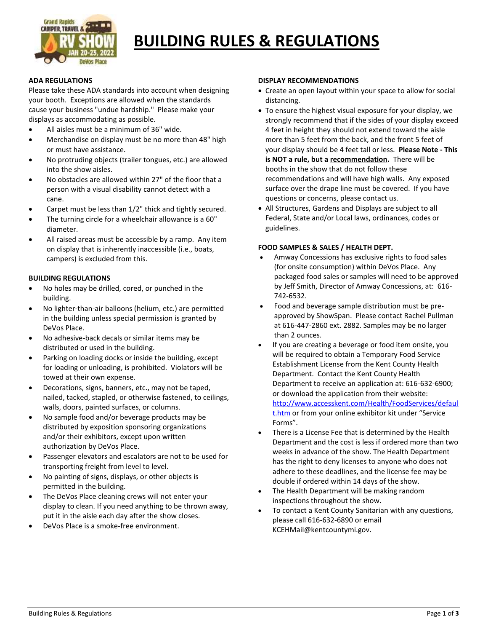

# **BUILDING RULES & REGULATIONS**

# **ADA REGULATIONS**

Please take these ADA standards into account when designing your booth. Exceptions are allowed when the standards cause your business "undue hardship." Please make your displays as accommodating as possible.

- All aisles must be a minimum of 36" wide.
- Merchandise on display must be no more than 48" high or must have assistance.
- No protruding objects (trailer tongues, etc.) are allowed into the show aisles.
- No obstacles are allowed within 27" of the floor that a person with a visual disability cannot detect with a cane.
- Carpet must be less than 1/2" thick and tightly secured.
- The turning circle for a wheelchair allowance is a 60" diameter.
- All raised areas must be accessible by a ramp. Any item on display that is inherently inaccessible (i.e., boats, campers) is excluded from this.

# **BUILDING REGULATIONS**

- No holes may be drilled, cored, or punched in the building.
- No lighter-than-air balloons (helium, etc.) are permitted in the building unless special permission is granted by DeVos Place.
- No adhesive-back decals or similar items may be distributed or used in the building.
- Parking on loading docks or inside the building, except for loading or unloading, is prohibited. Violators will be towed at their own expense.
- Decorations, signs, banners, etc., may not be taped, nailed, tacked, stapled, or otherwise fastened, to ceilings, walls, doors, painted surfaces, or columns.
- No sample food and/or beverage products may be distributed by exposition sponsoring organizations and/or their exhibitors, except upon written authorization by DeVos Place.
- Passenger elevators and escalators are not to be used for transporting freight from level to level.
- No painting of signs, displays, or other objects is permitted in the building.
- The DeVos Place cleaning crews will not enter your display to clean. If you need anything to be thrown away, put it in the aisle each day after the show closes.
- DeVos Place is a smoke-free environment.

#### **DISPLAY RECOMMENDATIONS**

- Create an open layout within your space to allow for social distancing.
- To ensure the highest visual exposure for your display, we strongly recommend that if the sides of your display exceed 4 feet in height they should not extend toward the aisle more than 5 feet from the back, and the front 5 feet of your display should be 4 feet tall or less. **Please Note - This is NOT a rule, but a recommendation.** There will be booths in the show that do not follow these recommendations and will have high walls. Any exposed surface over the drape line must be covered. If you have questions or concerns, please contact us.
- All Structures, Gardens and Displays are subject to all Federal, State and/or Local laws, ordinances, codes or guidelines.

# **FOOD SAMPLES & SALES / HEALTH DEPT.**

- Amway Concessions has exclusive rights to food sales (for onsite consumption) within DeVos Place. Any packaged food sales or samples will need to be approved by Jeff Smith, Director of Amway Concessions, at: 616- 742-6532.
- Food and beverage sample distribution must be preapproved by ShowSpan. Please contact Rachel Pullman at 616-447-2860 ext. 2882. Samples may be no larger than 2 ounces.
- If you are creating a beverage or food item onsite, you will be required to obtain a Temporary Food Service Establishment License from the Kent County Health Department. Contact the Kent County Health Department to receive an application at: 616-632-6900; or download the application from their website: [http://www.accesskent.com/Health/FoodServices/defaul](http://www.accesskent.com/Health/FoodServices/default.htm) [t.htm](http://www.accesskent.com/Health/FoodServices/default.htm) or from your online exhibitor kit under "Service Forms".
- There is a License Fee that is determined by the Health Department and the cost is less if ordered more than two weeks in advance of the show. The Health Department has the right to deny licenses to anyone who does not adhere to these deadlines, and the license fee may be double if ordered within 14 days of the show.
- The Health Department will be making random inspections throughout the show.
- To contact a Kent County Sanitarian with any questions, please call 616-632-6890 or email KCEHMail@kentcountymi.gov.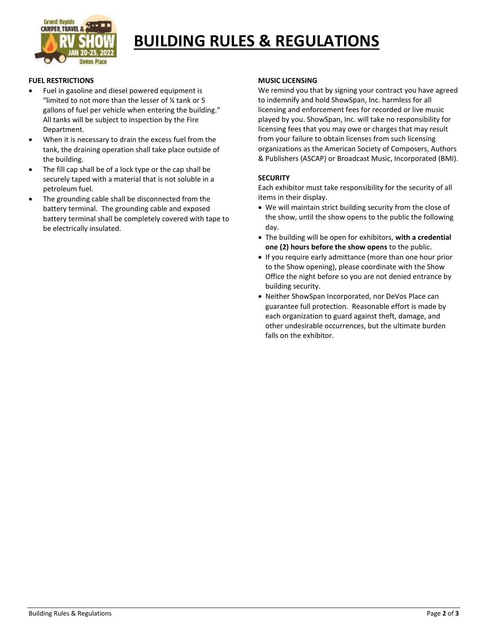

# **BUILDING RULES & REGULATIONS**

# **FUEL RESTRICTIONS**

- Fuel in gasoline and diesel powered equipment is "limited to not more than the lesser of ¼ tank or 5 gallons of fuel per vehicle when entering the building." All tanks will be subject to inspection by the Fire Department.
- When it is necessary to drain the excess fuel from the tank, the draining operation shall take place outside of the building.
- The fill cap shall be of a lock type or the cap shall be securely taped with a material that is not soluble in a petroleum fuel.
- The grounding cable shall be disconnected from the battery terminal. The grounding cable and exposed battery terminal shall be completely covered with tape to be electrically insulated.

#### **MUSIC LICENSING**

We remind you that by signing your contract you have agreed to indemnify and hold ShowSpan, Inc. harmless for all licensing and enforcement fees for recorded or live music played by you. ShowSpan, Inc. will take no responsibility for licensing fees that you may owe or charges that may result from your failure to obtain licenses from such licensing organizations as the American Society of Composers, Authors & Publishers (ASCAP) or Broadcast Music, Incorporated (BMI).

# **SECURITY**

Each exhibitor must take responsibility for the security of all items in their display.

- We will maintain strict building security from the close of the show, until the show opens to the public the following day.
- The building will be open for exhibitors, **with a credential one (2) hours before the show opens** to the public.
- If you require early admittance (more than one hour prior to the Show opening), please coordinate with the Show Office the night before so you are not denied entrance by building security.
- Neither ShowSpan Incorporated, nor DeVos Place can guarantee full protection. Reasonable effort is made by each organization to guard against theft, damage, and other undesirable occurrences, but the ultimate burden falls on the exhibitor.